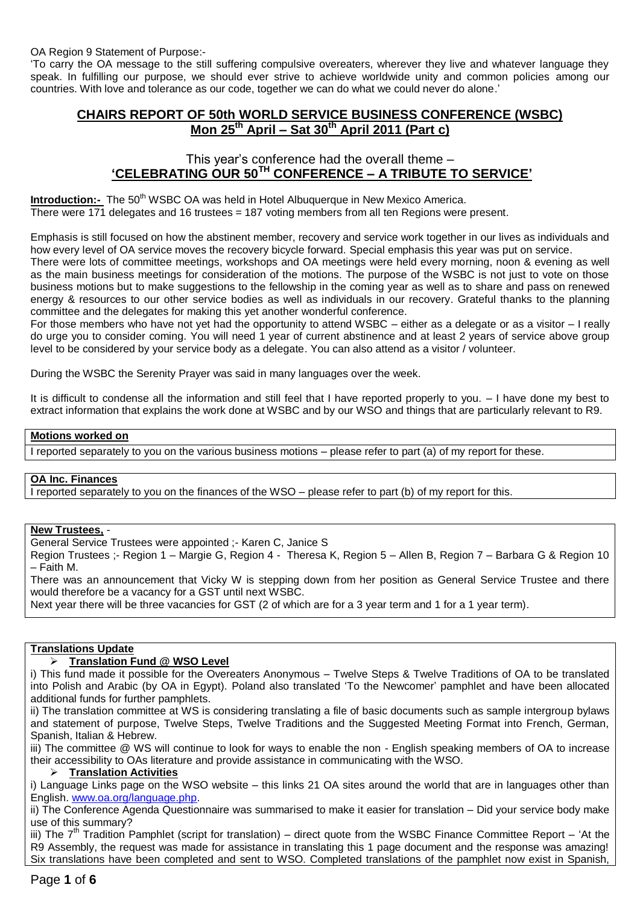'To carry the OA message to the still suffering compulsive overeaters, wherever they live and whatever language they speak. In fulfilling our purpose, we should ever strive to achieve worldwide unity and common policies among our countries. With love and tolerance as our code, together we can do what we could never do alone.'

# **CHAIRS REPORT OF 50th WORLD SERVICE BUSINESS CONFERENCE (WSBC) Mon 25 th April – Sat 30th April 2011 (Part c)**

# This year's conference had the overall theme – **'CELEBRATING OUR 50TH CONFERENCE – A TRIBUTE TO SERVICE'**

**Introduction:-** The 50<sup>th</sup> WSBC OA was held in Hotel Albuquerque in New Mexico America. There were 171 delegates and 16 trustees = 187 voting members from all ten Regions were present.

Emphasis is still focused on how the abstinent member, recovery and service work together in our lives as individuals and how every level of OA service moves the recovery bicycle forward. Special emphasis this year was put on service.

There were lots of committee meetings, workshops and OA meetings were held every morning, noon & evening as well as the main business meetings for consideration of the motions. The purpose of the WSBC is not just to vote on those business motions but to make suggestions to the fellowship in the coming year as well as to share and pass on renewed energy & resources to our other service bodies as well as individuals in our recovery. Grateful thanks to the planning committee and the delegates for making this yet another wonderful conference.

For those members who have not yet had the opportunity to attend WSBC – either as a delegate or as a visitor – I really do urge you to consider coming. You will need 1 year of current abstinence and at least 2 years of service above group level to be considered by your service body as a delegate. You can also attend as a visitor / volunteer.

During the WSBC the Serenity Prayer was said in many languages over the week.

It is difficult to condense all the information and still feel that I have reported properly to you. – I have done my best to extract information that explains the work done at WSBC and by our WSO and things that are particularly relevant to R9.

#### **Motions worked on**

I reported separately to you on the various business motions – please refer to part (a) of my report for these.

#### **OA Inc. Finances**

I reported separately to you on the finances of the WSO – please refer to part (b) of my report for this.

#### **New Trustees,** -

General Service Trustees were appointed ;- Karen C, Janice S

Region Trustees ;- Region 1 – Margie G, Region 4 - Theresa K, Region 5 – Allen B, Region 7 – Barbara G & Region 10 – Faith M.

There was an announcement that Vicky W is stepping down from her position as General Service Trustee and there would therefore be a vacancy for a GST until next WSBC.

Next year there will be three vacancies for GST (2 of which are for a 3 year term and 1 for a 1 year term).

#### **Translations Update**

## **Translation Fund @ WSO Level**

i) This fund made it possible for the Overeaters Anonymous – Twelve Steps & Twelve Traditions of OA to be translated into Polish and Arabic (by OA in Egypt). Poland also translated 'To the Newcomer' pamphlet and have been allocated additional funds for further pamphlets.

ii) The translation committee at WS is considering translating a file of basic documents such as sample intergroup bylaws and statement of purpose, Twelve Steps, Twelve Traditions and the Suggested Meeting Format into French, German, Spanish, Italian & Hebrew.

iii) The committee @ WS will continue to look for ways to enable the non - English speaking members of OA to increase their accessibility to OAs literature and provide assistance in communicating with the WSO.

#### **Translation Activities**

i) Language Links page on the WSO website – this links 21 OA sites around the world that are in languages other than English[. www.oa.org/language.php.](http://www.oa.org/language.php)

ii) The Conference Agenda Questionnaire was summarised to make it easier for translation – Did your service body make use of this summary?

iii) The  $7<sup>th</sup>$  Tradition Pamphlet (script for translation) – direct quote from the WSBC Finance Committee Report – 'At the R9 Assembly, the request was made for assistance in translating this 1 page document and the response was amazing! Six translations have been completed and sent to WSO. Completed translations of the pamphlet now exist in Spanish,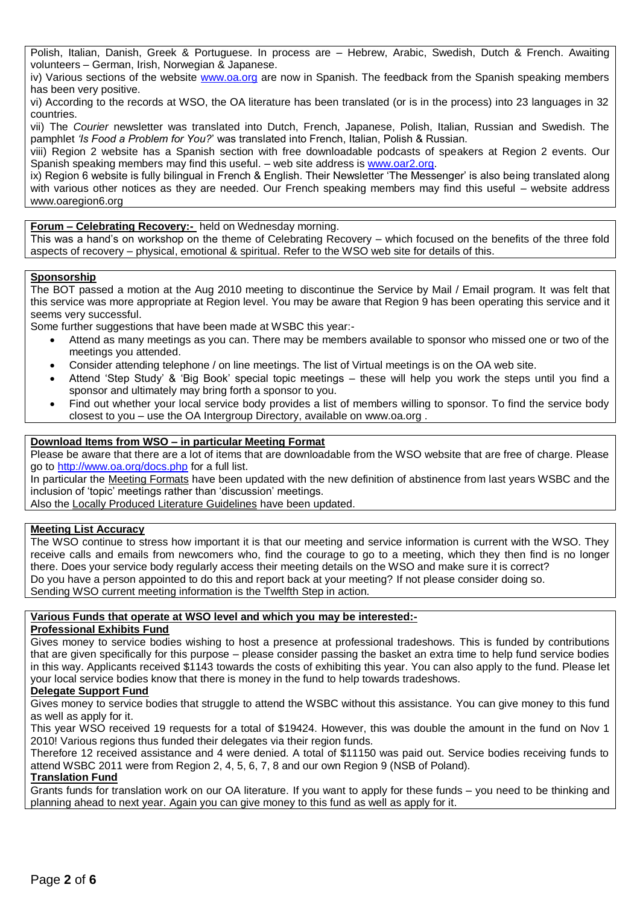Polish, Italian, Danish, Greek & Portuguese. In process are – Hebrew, Arabic, Swedish, Dutch & French. Awaiting volunteers – German, Irish, Norwegian & Japanese.

iv) Various sections of the website [www.oa.org](http://www.oa.org/) are now in Spanish. The feedback from the Spanish speaking members has been very positive.

vi) According to the records at WSO, the OA literature has been translated (or is in the process) into 23 languages in 32 countries.

vii) The *Courier* newsletter was translated into Dutch, French, Japanese, Polish, Italian, Russian and Swedish. The pamphlet *'Is Food a Problem for You?*' was translated into French, Italian, Polish & Russian.

viii) Region 2 website has a Spanish section with free downloadable podcasts of speakers at Region 2 events. Our Spanish speaking members may find this useful. – web site address is [www.oar2.org.](http://www.oar2.org/)

ix) Region 6 website is fully bilingual in French & English. Their Newsletter 'The Messenger' is also being translated along with various other notices as they are needed. Our French speaking members may find this useful – website address www.oaregion6.org

# **Forum – Celebrating Recovery:-** held on Wednesday morning.

This was a hand's on workshop on the theme of Celebrating Recovery – which focused on the benefits of the three fold aspects of recovery – physical, emotional & spiritual. Refer to the WSO web site for details of this.

## **Sponsorship**

The BOT passed a motion at the Aug 2010 meeting to discontinue the Service by Mail / Email program. It was felt that this service was more appropriate at Region level. You may be aware that Region 9 has been operating this service and it seems very successful.

Some further suggestions that have been made at WSBC this year:-

- Attend as many meetings as you can. There may be members available to sponsor who missed one or two of the meetings you attended.
- Consider attending telephone / on line meetings. The list of Virtual meetings is on the OA web site.
- Attend 'Step Study' & 'Big Book' special topic meetings these will help you work the steps until you find a sponsor and ultimately may bring forth a sponsor to you.
- Find out whether your local service body provides a list of members willing to sponsor. To find the service body closest to you – use the OA Intergroup Directory, available on www.oa.org .

# **Download Items from WSO – in particular Meeting Format**

Please be aware that there are a lot of items that are downloadable from the WSO website that are free of charge. Please go to<http://www.oa.org/docs.php> for a full list.

In particular the Meeting Formats have been updated with the new definition of abstinence from last years WSBC and the inclusion of 'topic' meetings rather than 'discussion' meetings.

Also the Locally Produced Literature Guidelines have been updated.

# **Meeting List Accuracy**

The WSO continue to stress how important it is that our meeting and service information is current with the WSO. They receive calls and emails from newcomers who, find the courage to go to a meeting, which they then find is no longer there. Does your service body regularly access their meeting details on the WSO and make sure it is correct? Do you have a person appointed to do this and report back at your meeting? If not please consider doing so. Sending WSO current meeting information is the Twelfth Step in action.

# **Various Funds that operate at WSO level and which you may be interested:-**

## **Professional Exhibits Fund**

Gives money to service bodies wishing to host a presence at professional tradeshows. This is funded by contributions that are given specifically for this purpose – please consider passing the basket an extra time to help fund service bodies in this way. Applicants received \$1143 towards the costs of exhibiting this year. You can also apply to the fund. Please let your local service bodies know that there is money in the fund to help towards tradeshows.

## **Delegate Support Fund**

Gives money to service bodies that struggle to attend the WSBC without this assistance. You can give money to this fund as well as apply for it.

This year WSO received 19 requests for a total of \$19424. However, this was double the amount in the fund on Nov 1 2010! Various regions thus funded their delegates via their region funds.

Therefore 12 received assistance and 4 were denied. A total of \$11150 was paid out. Service bodies receiving funds to attend WSBC 2011 were from Region 2, 4, 5, 6, 7, 8 and our own Region 9 (NSB of Poland).

## **Translation Fund**

Grants funds for translation work on our OA literature. If you want to apply for these funds – you need to be thinking and planning ahead to next year. Again you can give money to this fund as well as apply for it.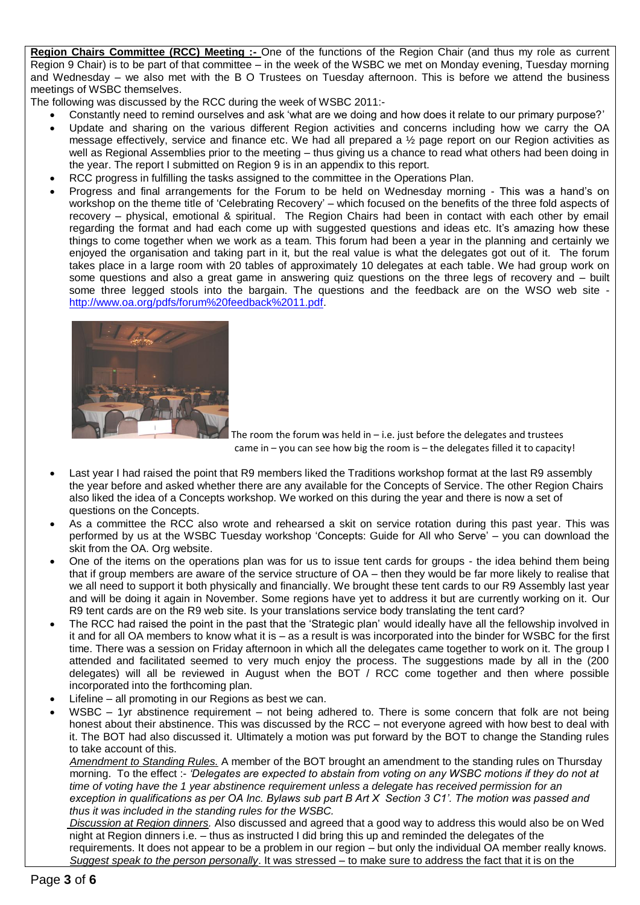**Region Chairs Committee (RCC) Meeting :-** One of the functions of the Region Chair (and thus my role as current Region 9 Chair) is to be part of that committee – in the week of the WSBC we met on Monday evening, Tuesday morning and Wednesday – we also met with the B O Trustees on Tuesday afternoon. This is before we attend the business meetings of WSBC themselves.

The following was discussed by the RCC during the week of WSBC 2011:-

- Constantly need to remind ourselves and ask 'what are we doing and how does it relate to our primary purpose?'
- Update and sharing on the various different Region activities and concerns including how we carry the OA message effectively, service and finance etc. We had all prepared a ½ page report on our Region activities as well as Regional Assemblies prior to the meeting – thus giving us a chance to read what others had been doing in the year. The report I submitted on Region 9 is in an appendix to this report.
- RCC progress in fulfilling the tasks assigned to the committee in the Operations Plan.
- Progress and final arrangements for the Forum to be held on Wednesday morning This was a hand's on workshop on the theme title of 'Celebrating Recovery' – which focused on the benefits of the three fold aspects of recovery – physical, emotional & spiritual. The Region Chairs had been in contact with each other by email regarding the format and had each come up with suggested questions and ideas etc. It's amazing how these things to come together when we work as a team. This forum had been a year in the planning and certainly we enjoyed the organisation and taking part in it, but the real value is what the delegates got out of it. The forum takes place in a large room with 20 tables of approximately 10 delegates at each table. We had group work on some questions and also a great game in answering quiz questions on the three legs of recovery and – built some three legged stools into the bargain. The questions and the feedback are on the WSO web site [http://www.oa.org/pdfs/forum%20feedback%2011.pdf.](http://www.oa.org/pdfs/forum%20feedback%2011.pdf)



The room the forum was held in  $-$  i.e. just before the delegates and trustees came in – you can see how big the room is – the delegates filled it to capacity!

- Last year I had raised the point that R9 members liked the Traditions workshop format at the last R9 assembly the year before and asked whether there are any available for the Concepts of Service. The other Region Chairs also liked the idea of a Concepts workshop. We worked on this during the year and there is now a set of questions on the Concepts.
- As a committee the RCC also wrote and rehearsed a skit on service rotation during this past year. This was performed by us at the WSBC Tuesday workshop 'Concepts: Guide for All who Serve' – you can download the skit from the OA. Org website.
- One of the items on the operations plan was for us to issue tent cards for groups the idea behind them being that if group members are aware of the service structure of OA – then they would be far more likely to realise that we all need to support it both physically and financially. We brought these tent cards to our R9 Assembly last year and will be doing it again in November. Some regions have yet to address it but are currently working on it. Our R9 tent cards are on the R9 web site. Is your translations service body translating the tent card?
- The RCC had raised the point in the past that the 'Strategic plan' would ideally have all the fellowship involved in it and for all OA members to know what it is – as a result is was incorporated into the binder for WSBC for the first time. There was a session on Friday afternoon in which all the delegates came together to work on it. The group I attended and facilitated seemed to very much enjoy the process. The suggestions made by all in the (200 delegates) will all be reviewed in August when the BOT / RCC come together and then where possible incorporated into the forthcoming plan.
- Lifeline all promoting in our Regions as best we can.
- WSBC 1yr abstinence requirement not being adhered to. There is some concern that folk are not being honest about their abstinence. This was discussed by the RCC – not everyone agreed with how best to deal with it. The BOT had also discussed it. Ultimately a motion was put forward by the BOT to change the Standing rules to take account of this.

 *Amendment to Standing Rules.* A member of the BOT brought an amendment to the standing rules on Thursday morning. To the effect :- *'Delegates are expected to abstain from voting on any WSBC motions if they do not at time of voting have the 1 year abstinence requirement unless a delegate has received permission for an exception in qualifications as per OA Inc. Bylaws sub part B Art X Section 3 C1'. The motion was passed and thus it was included in the standing rules for the WSBC.*

 *Discussion at Region dinners.* Also discussed and agreed that a good way to address this would also be on Wed night at Region dinners i.e. – thus as instructed I did bring this up and reminded the delegates of the requirements. It does not appear to be a problem in our region – but only the individual OA member really knows.  *Suggest speak to the person personally*. It was stressed – to make sure to address the fact that it is on the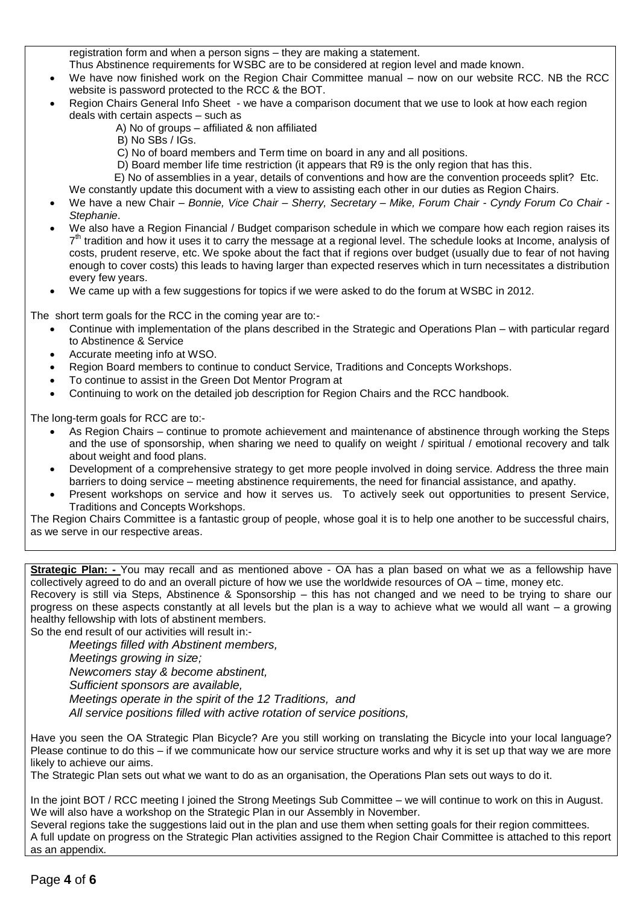registration form and when a person signs – they are making a statement.

Thus Abstinence requirements for WSBC are to be considered at region level and made known.

- We have now finished work on the Region Chair Committee manual now on our website RCC. NB the RCC website is password protected to the RCC & the BOT.
- Region Chairs General Info Sheet we have a comparison document that we use to look at how each region deals with certain aspects – such as
	- A) No of groups affiliated & non affiliated
	- B) No SBs / IGs.
	- C) No of board members and Term time on board in any and all positions.
	- D) Board member life time restriction (it appears that R9 is the only region that has this.
	- E) No of assemblies in a year, details of conventions and how are the convention proceeds split? Etc. We constantly update this document with a view to assisting each other in our duties as Region Chairs.
- We have a new Chair *Bonnie, Vice Chair – Sherry, Secretary – Mike, Forum Chair - Cyndy Forum Co Chair - Stephanie*.
- We also have a Region Financial / Budget comparison schedule in which we compare how each region raises its 7<sup>th</sup> tradition and how it uses it to carry the message at a regional level. The schedule looks at Income, analysis of costs, prudent reserve, etc. We spoke about the fact that if regions over budget (usually due to fear of not having enough to cover costs) this leads to having larger than expected reserves which in turn necessitates a distribution every few years.
- We came up with a few suggestions for topics if we were asked to do the forum at WSBC in 2012.

The short term goals for the RCC in the coming year are to:-

- Continue with implementation of the plans described in the Strategic and Operations Plan with particular regard to Abstinence & Service
- Accurate meeting info at WSO.
- Region Board members to continue to conduct Service, Traditions and Concepts Workshops.
- To continue to assist in the Green Dot Mentor Program at
- Continuing to work on the detailed job description for Region Chairs and the RCC handbook.

The long-term goals for RCC are to:-

- As Region Chairs continue to promote achievement and maintenance of abstinence through working the Steps and the use of sponsorship, when sharing we need to qualify on weight / spiritual / emotional recovery and talk about weight and food plans.
- Development of a comprehensive strategy to get more people involved in doing service. Address the three main barriers to doing service – meeting abstinence requirements, the need for financial assistance, and apathy.
- Present workshops on service and how it serves us. To actively seek out opportunities to present Service, Traditions and Concepts Workshops.

The Region Chairs Committee is a fantastic group of people, whose goal it is to help one another to be successful chairs, as we serve in our respective areas.

**Strategic Plan: -** You may recall and as mentioned above - OA has a plan based on what we as a fellowship have collectively agreed to do and an overall picture of how we use the worldwide resources of OA – time, money etc. Recovery is still via Steps, Abstinence & Sponsorship – this has not changed and we need to be trying to share our progress on these aspects constantly at all levels but the plan is a way to achieve what we would all want – a growing healthy fellowship with lots of abstinent members.

So the end result of our activities will result in:-

*Meetings filled with Abstinent members, Meetings growing in size; Newcomers stay & become abstinent, Sufficient sponsors are available, Meetings operate in the spirit of the 12 Traditions, and All service positions filled with active rotation of service positions,*

Have you seen the OA Strategic Plan Bicycle? Are you still working on translating the Bicycle into your local language? Please continue to do this – if we communicate how our service structure works and why it is set up that way we are more likely to achieve our aims.

The Strategic Plan sets out what we want to do as an organisation, the Operations Plan sets out ways to do it.

In the joint BOT / RCC meeting I joined the Strong Meetings Sub Committee – we will continue to work on this in August. We will also have a workshop on the Strategic Plan in our Assembly in November.

Several regions take the suggestions laid out in the plan and use them when setting goals for their region committees. A full update on progress on the Strategic Plan activities assigned to the Region Chair Committee is attached to this report as an appendix.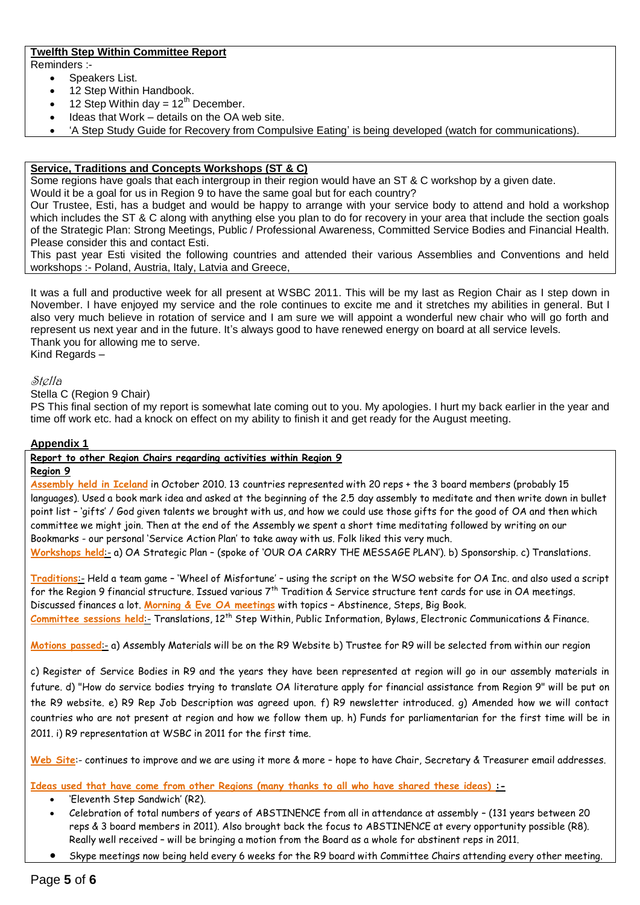# **Twelfth Step Within Committee Report**

Reminders :-

- Speakers List.
- 12 Step Within Handbook.
- 12 Step Within day =  $12<sup>th</sup>$  December.
- Ideas that Work details on the OA web site.
- 'A Step Study Guide for Recovery from Compulsive Eating' is being developed (watch for communications).

# **Service, Traditions and Concepts Workshops (ST & C)**

Some regions have goals that each intergroup in their region would have an ST & C workshop by a given date.

Would it be a goal for us in Region 9 to have the same goal but for each country?

Our Trustee, Esti, has a budget and would be happy to arrange with your service body to attend and hold a workshop which includes the ST & C along with anything else you plan to do for recovery in your area that include the section goals of the Strategic Plan: Strong Meetings, Public / Professional Awareness, Committed Service Bodies and Financial Health. Please consider this and contact Esti.

This past year Esti visited the following countries and attended their various Assemblies and Conventions and held workshops :- Poland, Austria, Italy, Latvia and Greece,

It was a full and productive week for all present at WSBC 2011. This will be my last as Region Chair as I step down in November. I have enjoyed my service and the role continues to excite me and it stretches my abilities in general. But I also very much believe in rotation of service and I am sure we will appoint a wonderful new chair who will go forth and represent us next year and in the future. It's always good to have renewed energy on board at all service levels. Thank you for allowing me to serve.

Kind Regards –

## Stella

Stella C (Region 9 Chair)

PS This final section of my report is somewhat late coming out to you. My apologies. I hurt my back earlier in the year and time off work etc. had a knock on effect on my ability to finish it and get ready for the August meeting.

# **Appendix 1**

**Report to other Region Chairs regarding activities within Region 9** 

# **Region 9**

**Assembly held in Iceland** in October 2010. 13 countries represented with 20 reps + the 3 board members (probably 15 languages). Used a book mark idea and asked at the beginning of the 2.5 day assembly to meditate and then write down in bullet point list – 'gifts' / God given talents we brought with us, and how we could use those gifts for the good of OA and then which committee we might join. Then at the end of the Assembly we spent a short time meditating followed by writing on our Bookmarks - our personal 'Service Action Plan' to take away with us. Folk liked this very much.

**Workshops held**:- a) OA Strategic Plan – (spoke of 'OUR OA CARRY THE MESSAGE PLAN'). b) Sponsorship. c) Translations.

**Traditions**:- Held a team game – 'Wheel of Misfortune' – using the script on the WSO website for OA Inc. and also used a script for the Region 9 financial structure. Issued various  $7^{th}$  Tradition & Service structure tent cards for use in OA meetings. Discussed finances a lot. **Morning & Eve OA meetings** with topics – Abstinence, Steps, Big Book. Committee sessions held: Translations, 12<sup>th</sup> Step Within, Public Information, Bylaws, Electronic Communications & Finance.

**Motions passed**:- a) Assembly Materials will be on the R9 Website b) Trustee for R9 will be selected from within our region

c) Register of Service Bodies in R9 and the years they have been represented at region will go in our assembly materials in future. d) "How do service bodies trying to translate OA literature apply for financial assistance from Region 9" will be put on the R9 website. e) R9 Rep Job Description was agreed upon. f) R9 newsletter introduced. g) Amended how we will contact countries who are not present at region and how we follow them up. h) Funds for parliamentarian for the first time will be in 2011. i) R9 representation at WSBC in 2011 for the first time.

**Web Site**:- continues to improve and we are using it more & more – hope to have Chair, Secretary & Treasurer email addresses.

**Ideas used that have come from other Regions (many thanks to all who have shared these ideas) :-**

- 'Eleventh Step Sandwich' (R2).
- Celebration of total numbers of years of ABSTINENCE from all in attendance at assembly (131 years between 20 reps & 3 board members in 2011). Also brought back the focus to ABSTINENCE at every opportunity possible (R8). Really well received – will be bringing a motion from the Board as a whole for abstinent reps in 2011.
- Skype meetings now being held every 6 weeks for the R9 board with Committee Chairs attending every other meeting.